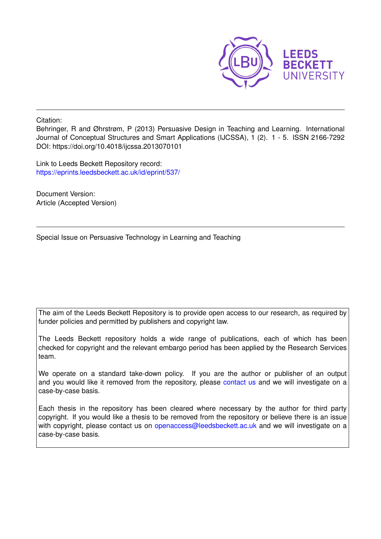

Citation:

Behringer, R and Øhrstrøm, P (2013) Persuasive Design in Teaching and Learning. International Journal of Conceptual Structures and Smart Applications (IJCSSA), 1 (2). 1 - 5. ISSN 2166-7292 DOI: https://doi.org/10.4018/ijcssa.2013070101

Link to Leeds Beckett Repository record: <https://eprints.leedsbeckett.ac.uk/id/eprint/537/>

Document Version: Article (Accepted Version)

Special Issue on Persuasive Technology in Learning and Teaching

The aim of the Leeds Beckett Repository is to provide open access to our research, as required by funder policies and permitted by publishers and copyright law.

The Leeds Beckett repository holds a wide range of publications, each of which has been checked for copyright and the relevant embargo period has been applied by the Research Services team.

We operate on a standard take-down policy. If you are the author or publisher of an output and you would like it removed from the repository, please [contact us](mailto:openaccess@leedsbeckett.ac.uk) and we will investigate on a case-by-case basis.

Each thesis in the repository has been cleared where necessary by the author for third party copyright. If you would like a thesis to be removed from the repository or believe there is an issue with copyright, please contact us on [openaccess@leedsbeckett.ac.uk](mailto:openaccess@leedsbeckett.ac.uk) and we will investigate on a case-by-case basis.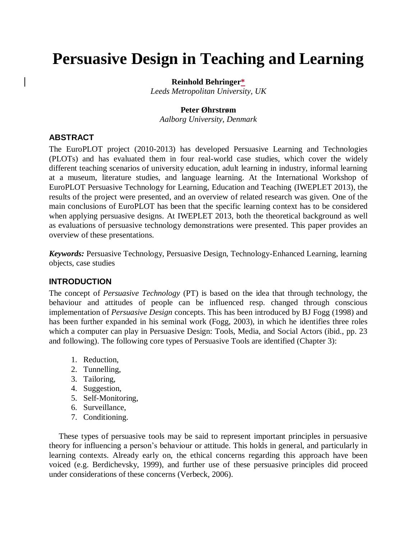# **Persuasive Design in Teaching and Learning**

#### **Reinhold Behringer\***

*Leeds Metropolitan University, UK*

#### **Peter Øhrstrøm**

*Aalborg University, Denmark*

## **ABSTRACT**

The EuroPLOT project (2010-2013) has developed Persuasive Learning and Technologies (PLOTs) and has evaluated them in four real-world case studies, which cover the widely different teaching scenarios of university education, adult learning in industry, informal learning at a museum, literature studies, and language learning. At the International Workshop of EuroPLOT Persuasive Technology for Learning, Education and Teaching (IWEPLET 2013), the results of the project were presented, and an overview of related research was given. One of the main conclusions of EuroPLOT has been that the specific learning context has to be considered when applying persuasive designs. At IWEPLET 2013, both the theoretical background as well as evaluations of persuasive technology demonstrations were presented. This paper provides an overview of these presentations.

*Keywords:* Persuasive Technology, Persuasive Design, Technology-Enhanced Learning, learning objects, case studies

## **INTRODUCTION**

The concept of *Persuasive Technology* (PT) is based on the idea that through technology, the behaviour and attitudes of people can be influenced resp. changed through conscious implementation of *Persuasive Design* concepts. This has been introduced by BJ Fogg (1998) and has been further expanded in his seminal work (Fogg, 2003), in which he identifies three roles which a computer can play in Persuasive Design: Tools, Media, and Social Actors (ibid., pp. 23 and following). The following core types of Persuasive Tools are identified (Chapter 3):

- 1. Reduction,
- 2. Tunnelling,
- 3. Tailoring,
- 4. Suggestion,
- 5. Self-Monitoring,
- 6. Surveillance,
- 7. Conditioning.

These types of persuasive tools may be said to represent important principles in persuasive theory for influencing a person's behaviour or attitude. This holds in general, and particularly in learning contexts. Already early on, the ethical concerns regarding this approach have been voiced (e.g. Berdichevsky, 1999), and further use of these persuasive principles did proceed under considerations of these concerns (Verbeck, 2006).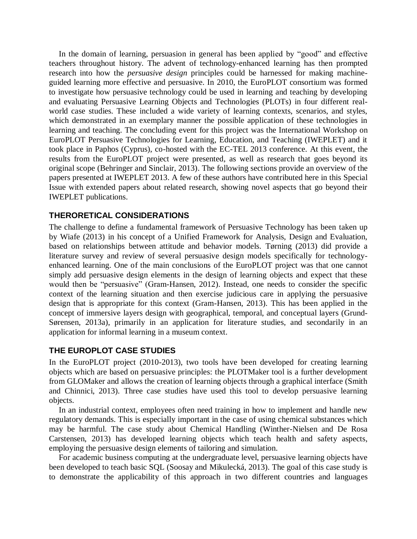In the domain of learning, persuasion in general has been applied by "good" and effective teachers throughout history. The advent of technology-enhanced learning has then prompted research into how the *persuasive design* principles could be harnessed for making machineguided learning more effective and persuasive. In 2010, the EuroPLOT consortium was formed to investigate how persuasive technology could be used in learning and teaching by developing and evaluating Persuasive Learning Objects and Technologies (PLOTs) in four different realworld case studies. These included a wide variety of learning contexts, scenarios, and styles, which demonstrated in an exemplary manner the possible application of these technologies in learning and teaching. The concluding event for this project was the International Workshop on EuroPLOT Persuasive Technologies for Learning, Education, and Teaching (IWEPLET) and it took place in Paphos (Cyprus), co-hosted with the EC-TEL 2013 conference. At this event, the results from the EuroPLOT project were presented, as well as research that goes beyond its original scope (Behringer and Sinclair, 2013). The following sections provide an overview of the papers presented at IWEPLET 2013. A few of these authors have contributed here in this Special Issue with extended papers about related research, showing novel aspects that go beyond their IWEPLET publications.

#### **THERORETICAL CONSIDERATIONS**

The challenge to define a fundamental framework of Persuasive Technology has been taken up by Wiafe (2013) in his concept of a Unified Framework for Analysis, Design and Evaluation, based on relationships between attitude and behavior models. Tørning (2013) did provide a literature survey and review of several persuasive design models specifically for technologyenhanced learning. One of the main conclusions of the EuroPLOT project was that one cannot simply add persuasive design elements in the design of learning objects and expect that these would then be "persuasive" (Gram-Hansen, 2012). Instead, one needs to consider the specific context of the learning situation and then exercise judicious care in applying the persuasive design that is appropriate for this context (Gram-Hansen, 2013). This has been applied in the concept of immersive layers design with geographical, temporal, and conceptual layers (Grund-Sørensen, 2013a), primarily in an application for literature studies, and secondarily in an application for informal learning in a museum context.

#### **THE EUROPLOT CASE STUDIES**

In the EuroPLOT project (2010-2013), two tools have been developed for creating learning objects which are based on persuasive principles: the PLOTMaker tool is a further development from GLOMaker and allows the creation of learning objects through a graphical interface (Smith and Chinnici, 2013). Three case studies have used this tool to develop persuasive learning objects.

In an industrial context, employees often need training in how to implement and handle new regulatory demands. This is especially important in the case of using chemical substances which may be harmful. The case study about Chemical Handling (Winther-Nielsen and De Rosa Carstensen, 2013) has developed learning objects which teach health and safety aspects, employing the persuasive design elements of tailoring and simulation.

For academic business computing at the undergraduate level, persuasive learning objects have been developed to teach basic SQL (Soosay and Mikulecká, 2013). The goal of this case study is to demonstrate the applicability of this approach in two different countries and languages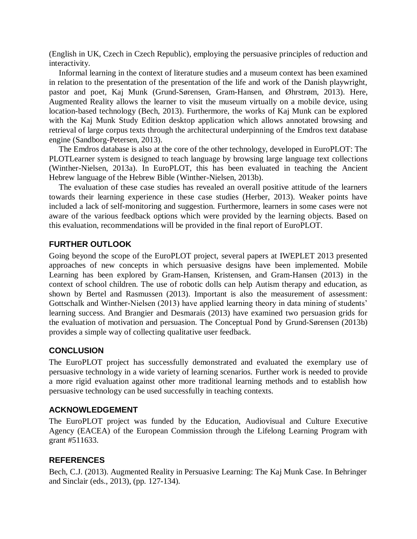(English in UK, Czech in Czech Republic), employing the persuasive principles of reduction and interactivity.

Informal learning in the context of literature studies and a museum context has been examined in relation to the presentation of the presentation of the life and work of the Danish playwright, pastor and poet, Kaj Munk (Grund-Sørensen, Gram-Hansen, and Øhrstrøm, 2013). Here, Augmented Reality allows the learner to visit the museum virtually on a mobile device, using location-based technology (Bech, 2013). Furthermore, the works of Kaj Munk can be explored with the Kaj Munk Study Edition desktop application which allows annotated browsing and retrieval of large corpus texts through the architectural underpinning of the Emdros text database engine (Sandborg-Petersen, 2013).

The Emdros database is also at the core of the other technology, developed in EuroPLOT: The PLOTLearner system is designed to teach language by browsing large language text collections (Winther-Nielsen, 2013a). In EuroPLOT, this has been evaluated in teaching the Ancient Hebrew language of the Hebrew Bible (Winther-Nielsen, 2013b).

The evaluation of these case studies has revealed an overall positive attitude of the learners towards their learning experience in these case studies (Herber, 2013). Weaker points have included a lack of self-monitoring and suggestion. Furthermore, learners in some cases were not aware of the various feedback options which were provided by the learning objects. Based on this evaluation, recommendations will be provided in the final report of EuroPLOT.

## **FURTHER OUTLOOK**

Going beyond the scope of the EuroPLOT project, several papers at IWEPLET 2013 presented approaches of new concepts in which persuasive designs have been implemented. Mobile Learning has been explored by Gram-Hansen, Kristensen, and Gram-Hansen (2013) in the context of school children. The use of robotic dolls can help Autism therapy and education, as shown by Bertel and Rasmussen (2013). Important is also the measurement of assessment: Gottschalk and Winther-Nielsen (2013) have applied learning theory in data mining of students' learning success. And Brangier and Desmarais (2013) have examined two persuasion grids for the evaluation of motivation and persuasion. The Conceptual Pond by Grund-Sørensen (2013b) provides a simple way of collecting qualitative user feedback.

## **CONCLUSION**

The EuroPLOT project has successfully demonstrated and evaluated the exemplary use of persuasive technology in a wide variety of learning scenarios. Further work is needed to provide a more rigid evaluation against other more traditional learning methods and to establish how persuasive technology can be used successfully in teaching contexts.

## **ACKNOWLEDGEMENT**

The EuroPLOT project was funded by the Education, Audiovisual and Culture Executive Agency (EACEA) of the European Commission through the Lifelong Learning Program with grant #511633.

## **REFERENCES**

Bech, C.J. (2013). Augmented Reality in Persuasive Learning: The Kaj Munk Case. In Behringer and Sinclair (eds., 2013), (pp. 127-134).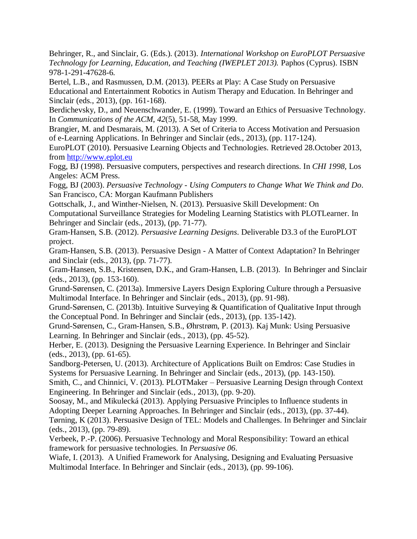Behringer, R., and Sinclair, G. (Eds.). (2013). *International Workshop on EuroPLOT Persuasive Technology for Learning, Education, and Teaching (IWEPLET 2013).* Paphos (Cyprus). ISBN 978-1-291-47628-6.

Bertel, L.B., and Rasmussen, D.M. (2013). PEERs at Play: A Case Study on Persuasive Educational and Entertainment Robotics in Autism Therapy and Education. In Behringer and Sinclair (eds., 2013), (pp. 161-168).

Berdichevsky, D., and Neuenschwander, E. (1999). Toward an Ethics of Persuasive Technology. In *Communications of the ACM*, *42*(5), 51-58, May 1999.

Brangier, M. and Desmarais, M. (2013). A Set of Criteria to Access Motivation and Persuasion of e-Learning Applications. In Behringer and Sinclair (eds., 2013), (pp. 117-124).

EuroPLOT (2010). Persuasive Learning Objects and Technologies. Retrieved 28.October 2013, from [http://www.eplot.eu](http://www.eplot.eu/)

Fogg, BJ (1998). Persuasive computers, perspectives and research directions. In *CHI 1998,* Los Angeles: ACM Press.

Fogg, BJ (2003). *Persuasive Technology - Using Computers to Change What We Think and Do*. San Francisco, CA: Morgan Kaufmann Publishers

Gottschalk, J., and Winther-Nielsen, N. (2013). Persuasive Skill Development: On

Computational Surveillance Strategies for Modeling Learning Statistics with PLOTLearner. In Behringer and Sinclair (eds., 2013), (pp. 71-77).

Gram-Hansen, S.B. (2012). *Persuasive Learning Designs*. Deliverable D3.3 of the EuroPLOT project.

Gram-Hansen, S.B. (2013). Persuasive Design - A Matter of Context Adaptation? In Behringer and Sinclair (eds., 2013), (pp. 71-77).

Gram-Hansen, S.B., Kristensen, D.K., and Gram-Hansen, L.B. (2013). In Behringer and Sinclair (eds., 2013), (pp. 153-160).

Grund-Sørensen, C. (2013a). Immersive Layers Design Exploring Culture through a Persuasive Multimodal Interface. In Behringer and Sinclair (eds., 2013), (pp. 91-98).

Grund-Sørensen, C. (2013b). Intuitive Surveying & Quantification of Qualitative Input through the Conceptual Pond. In Behringer and Sinclair (eds., 2013), (pp. 135-142).

Grund-Sørensen, C., Gram-Hansen, S.B., Øhrstrøm, P. (2013). Kaj Munk: Using Persuasive Learning. In Behringer and Sinclair (eds., 2013), (pp. 45-52).

Herber, E. (2013). Designing the Persuasive Learning Experience. In Behringer and Sinclair (eds., 2013), (pp. 61-65).

Sandborg-Petersen, U. (2013). Architecture of Applications Built on Emdros: Case Studies in Systems for Persuasive Learning. In Behringer and Sinclair (eds., 2013), (pp. 143-150).

Smith, C., and Chinnici, V. (2013). PLOTMaker – Persuasive Learning Design through Context Engineering. In Behringer and Sinclair (eds., 2013), (pp. 9-20).

Soosay, M., and Mikulecká (2013). Applying Persuasive Principles to Influence students in Adopting Deeper Learning Approaches. In Behringer and Sinclair (eds., 2013), (pp. 37-44).

Tørning, K (2013). Persuasive Design of TEL: Models and Challenges. In Behringer and Sinclair (eds., 2013), (pp. 79-89).

Verbeek, P.-P. (2006). Persuasive Technology and Moral Responsibility: Toward an ethical framework for persuasive technologies. In *Persuasive 06*.

Wiafe, I. (2013). A Unified Framework for Analysing, Designing and Evaluating Persuasive Multimodal Interface. In Behringer and Sinclair (eds., 2013), (pp. 99-106).